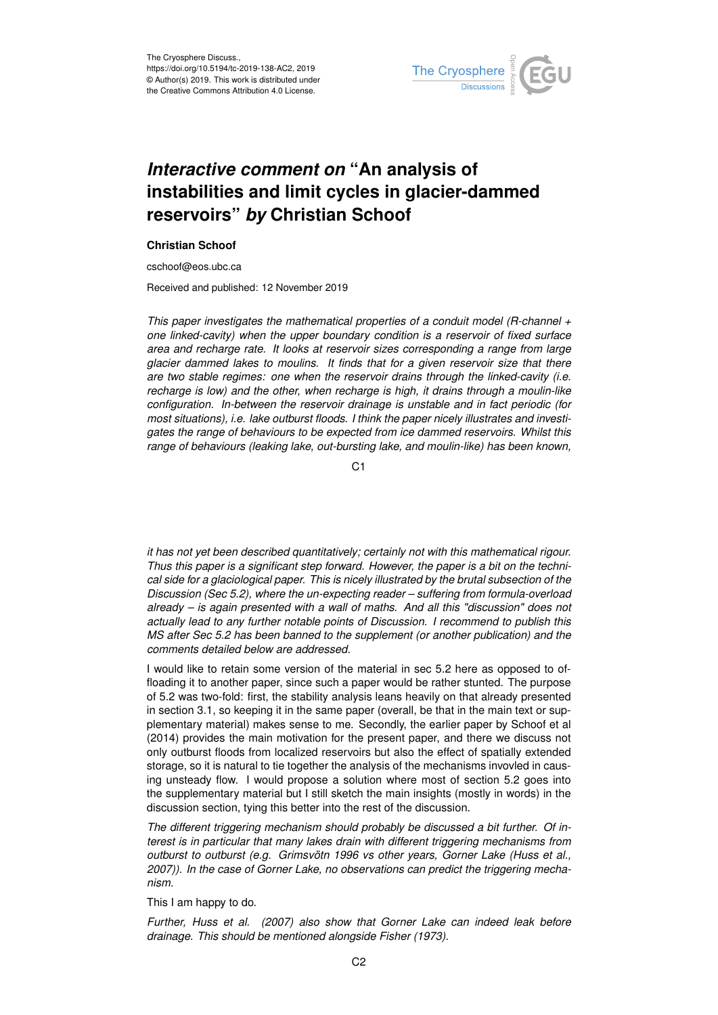

## *Interactive comment on* **"An analysis of instabilities and limit cycles in glacier-dammed reservoirs"** *by* **Christian Schoof**

## **Christian Schoof**

cschoof@eos.ubc.ca

Received and published: 12 November 2019

*This paper investigates the mathematical properties of a conduit model (R-channel + one linked-cavity) when the upper boundary condition is a reservoir of fixed surface area and recharge rate. It looks at reservoir sizes corresponding a range from large glacier dammed lakes to moulins. It finds that for a given reservoir size that there are two stable regimes: one when the reservoir drains through the linked-cavity (i.e. recharge is low) and the other, when recharge is high, it drains through a moulin-like configuration. In-between the reservoir drainage is unstable and in fact periodic (for most situations), i.e. lake outburst floods. I think the paper nicely illustrates and investigates the range of behaviours to be expected from ice dammed reservoirs. Whilst this range of behaviours (leaking lake, out-bursting lake, and moulin-like) has been known,*

C1

*it has not yet been described quantitatively; certainly not with this mathematical rigour. Thus this paper is a significant step forward. However, the paper is a bit on the technical side for a glaciological paper. This is nicely illustrated by the brutal subsection of the Discussion (Sec 5.2), where the un-expecting reader – suffering from formula-overload already – is again presented with a wall of maths. And all this "discussion" does not actually lead to any further notable points of Discussion. I recommend to publish this MS after Sec 5.2 has been banned to the supplement (or another publication) and the comments detailed below are addressed.*

I would like to retain some version of the material in sec 5.2 here as opposed to offloading it to another paper, since such a paper would be rather stunted. The purpose of 5.2 was two-fold: first, the stability analysis leans heavily on that already presented in section 3.1, so keeping it in the same paper (overall, be that in the main text or supplementary material) makes sense to me. Secondly, the earlier paper by Schoof et al (2014) provides the main motivation for the present paper, and there we discuss not only outburst floods from localized reservoirs but also the effect of spatially extended storage, so it is natural to tie together the analysis of the mechanisms invovled in causing unsteady flow. I would propose a solution where most of section 5.2 goes into the supplementary material but I still sketch the main insights (mostly in words) in the discussion section, tying this better into the rest of the discussion.

*The different triggering mechanism should probably be discussed a bit further. Of interest is in particular that many lakes drain with different triggering mechanisms from outburst to outburst (e.g. Grimsvötn 1996 vs other years, Gorner Lake (Huss et al., 2007)). In the case of Gorner Lake, no observations can predict the triggering mechanism.*

This I am happy to do.

*Further, Huss et al. (2007) also show that Gorner Lake can indeed leak before drainage. This should be mentioned alongside Fisher (1973).*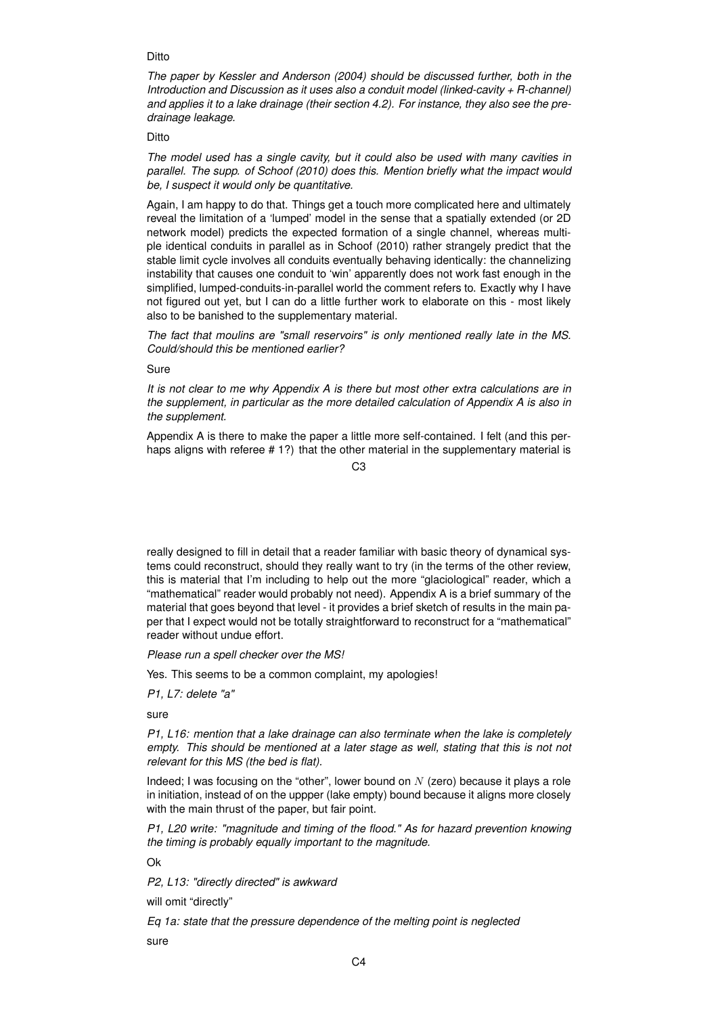## **Ditto**

*The paper by Kessler and Anderson (2004) should be discussed further, both in the Introduction and Discussion as it uses also a conduit model (linked-cavity + R-channel) and applies it to a lake drainage (their section 4.2). For instance, they also see the predrainage leakage.*

## Ditto

*The model used has a single cavity, but it could also be used with many cavities in parallel. The supp. of Schoof (2010) does this. Mention briefly what the impact would be, I suspect it would only be quantitative.*

Again, I am happy to do that. Things get a touch more complicated here and ultimately reveal the limitation of a 'lumped' model in the sense that a spatially extended (or 2D network model) predicts the expected formation of a single channel, whereas multiple identical conduits in parallel as in Schoof (2010) rather strangely predict that the stable limit cycle involves all conduits eventually behaving identically: the channelizing instability that causes one conduit to 'win' apparently does not work fast enough in the simplified, lumped-conduits-in-parallel world the comment refers to. Exactly why I have not figured out yet, but I can do a little further work to elaborate on this - most likely also to be banished to the supplementary material.

*The fact that moulins are "small reservoirs" is only mentioned really late in the MS. Could/should this be mentioned earlier?*

Sure

*It is not clear to me why Appendix A is there but most other extra calculations are in the supplement, in particular as the more detailed calculation of Appendix A is also in the supplement.*

Appendix A is there to make the paper a little more self-contained. I felt (and this perhaps aligns with referee # 1?) that the other material in the supplementary material is

C3

really designed to fill in detail that a reader familiar with basic theory of dynamical systems could reconstruct, should they really want to try (in the terms of the other review, this is material that I'm including to help out the more "glaciological" reader, which a "mathematical" reader would probably not need). Appendix A is a brief summary of the material that goes beyond that level - it provides a brief sketch of results in the main paper that I expect would not be totally straightforward to reconstruct for a "mathematical" reader without undue effort.

*Please run a spell checker over the MS!*

Yes. This seems to be a common complaint, my apologies!

*P1, L7: delete "a"*

sure

*P1, L16: mention that a lake drainage can also terminate when the lake is completely empty. This should be mentioned at a later stage as well, stating that this is not not relevant for this MS (the bed is flat).*

Indeed; I was focusing on the "other", lower bound on  $N$  (zero) because it plays a role in initiation, instead of on the uppper (lake empty) bound because it aligns more closely with the main thrust of the paper, but fair point.

*P1, L20 write: "magnitude and timing of the flood." As for hazard prevention knowing the timing is probably equally important to the magnitude.*

Ok

*P2, L13: "directly directed" is awkward*

will omit "directly"

*Eq 1a: state that the pressure dependence of the melting point is neglected*

sure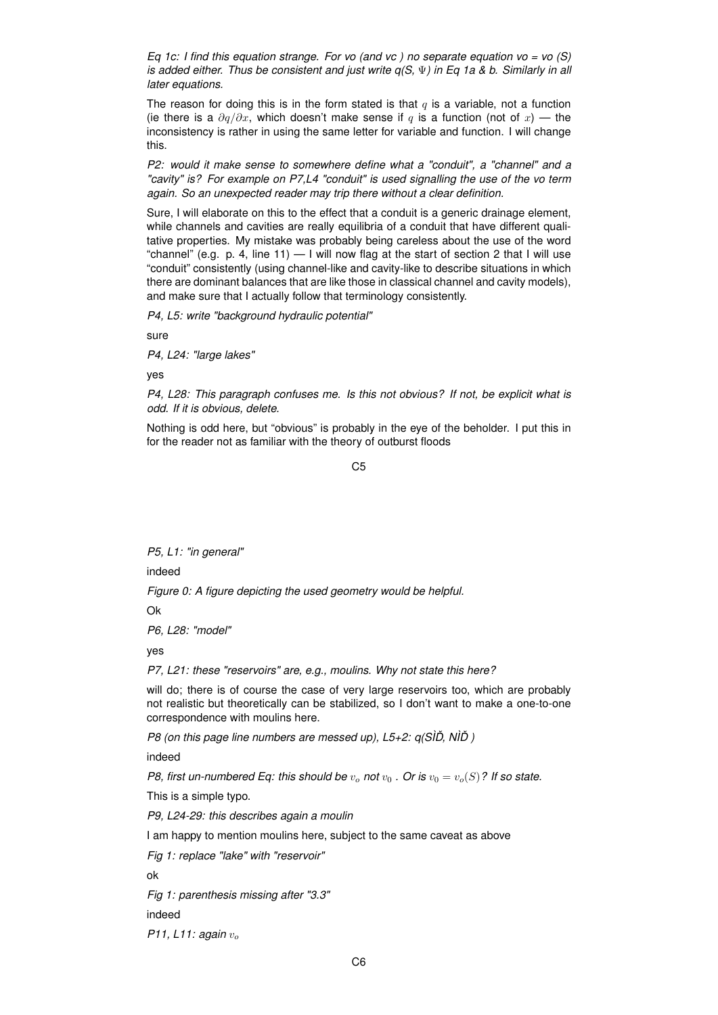*Eq 1c: I find this equation strange. For vo (and vc ) no separate equation vo = vo (S) is added either. Thus be consistent and just write q(S,* Ψ*) in Eq 1a & b. Similarly in all later equations.*

The reason for doing this is in the form stated is that  $q$  is a variable, not a function (ie there is a  $\partial q/\partial x$ , which doesn't make sense if q is a function (not of x) — the inconsistency is rather in using the same letter for variable and function. I will change this.

*P2: would it make sense to somewhere define what a "conduit", a "channel" and a "cavity" is? For example on P7,L4 "conduit" is used signalling the use of the vo term again. So an unexpected reader may trip there without a clear definition.*

Sure, I will elaborate on this to the effect that a conduit is a generic drainage element, while channels and cavities are really equilibria of a conduit that have different qualitative properties. My mistake was probably being careless about the use of the word "channel" (e.g. p. 4, line 11)  $-$  I will now flag at the start of section 2 that I will use "conduit" consistently (using channel-like and cavity-like to describe situations in which there are dominant balances that are like those in classical channel and cavity models), and make sure that I actually follow that terminology consistently.

*P4, L5: write "background hydraulic potential"*

sure

*P4, L24: "large lakes"*

yes

*P4, L28: This paragraph confuses me. Is this not obvious? If not, be explicit what is odd. If it is obvious, delete.*

Nothing is odd here, but "obvious" is probably in the eye of the beholder. I put this in for the reader not as familiar with the theory of outburst floods

C5

*P5, L1: "in general"*

indeed

*Figure 0: A figure depicting the used geometry would be helpful.*

Ok

*P6, L28: "model"*

yes

*P7, L21: these "reservoirs" are, e.g., moulins. Why not state this here?*

will do; there is of course the case of very large reservoirs too, which are probably not realistic but theoretically can be stabilized, so I don't want to make a one-to-one correspondence with moulins here.

*P8 (on this page line numbers are messed up), L5+2: q(SÌD, NÌD)* 

indeed

*P8, first un-numbered Eq: this should be*  $v<sub>o</sub>$  *not*  $v<sub>0</sub>$  *. Or is*  $v<sub>0</sub> = v<sub>o</sub>(S)$ *? If so state.* 

This is a simple typo.

*P9, L24-29: this describes again a moulin*

I am happy to mention moulins here, subject to the same caveat as above

*Fig 1: replace "lake" with "reservoir"*

ok

*Fig 1: parenthesis missing after "3.3"*

indeed

*P11, L11: again*  $v_{o}$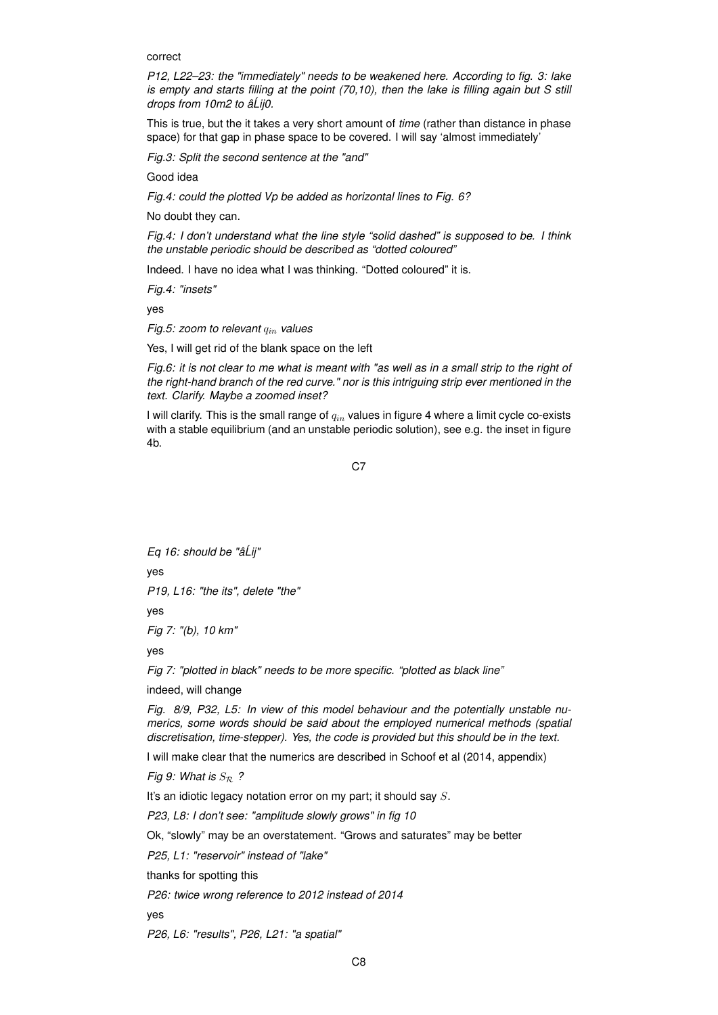correct

*P12, L22–23: the "immediately" needs to be weakened here. According to fig. 3: lake is empty and starts filling at the point (70,10), then the lake is filling again but S still drops from 10m2 to âLij0. ´*

This is true, but the it takes a very short amount of *time* (rather than distance in phase space) for that gap in phase space to be covered. I will say 'almost immediately'

*Fig.3: Split the second sentence at the "and"*

Good idea

*Fig.4: could the plotted Vp be added as horizontal lines to Fig. 6?*

No doubt they can.

*Fig.4: I don't understand what the line style "solid dashed" is supposed to be. I think the unstable periodic should be described as "dotted coloured"*

Indeed. I have no idea what I was thinking. "Dotted coloured" it is.

*Fig.4: "insets"*

yes

*Fig.5: zoom to relevant*  $q_{in}$  *values* 

Yes, I will get rid of the blank space on the left

*Fig.6: it is not clear to me what is meant with "as well as in a small strip to the right of the right-hand branch of the red curve." nor is this intriguing strip ever mentioned in the text. Clarify. Maybe a zoomed inset?*

I will clarify. This is the small range of  $q_{in}$  values in figure 4 where a limit cycle co-exists with a stable equilibrium (and an unstable periodic solution), see e.g. the inset in figure 4b.

C7

*Eq 16: should be "âLij" ´* yes *P19, L16: "the its", delete "the"* yes *Fig 7: "(b), 10 km"*

yes

*Fig 7: "plotted in black" needs to be more specific. "plotted as black line"*

indeed, will change

*Fig. 8/9, P32, L5: In view of this model behaviour and the potentially unstable numerics, some words should be said about the employed numerical methods (spatial discretisation, time-stepper). Yes, the code is provided but this should be in the text.*

I will make clear that the numerics are described in Schoof et al (2014, appendix)

*Fig 9: What is*  $S_{\mathcal{R}}$  ?

It's an idiotic legacy notation error on my part; it should say S.

*P23, L8: I don't see: "amplitude slowly grows" in fig 10*

Ok, "slowly" may be an overstatement. "Grows and saturates" may be better

*P25, L1: "reservoir" instead of "lake"*

thanks for spotting this

*P26: twice wrong reference to 2012 instead of 2014*

yes

*P26, L6: "results", P26, L21: "a spatial"*